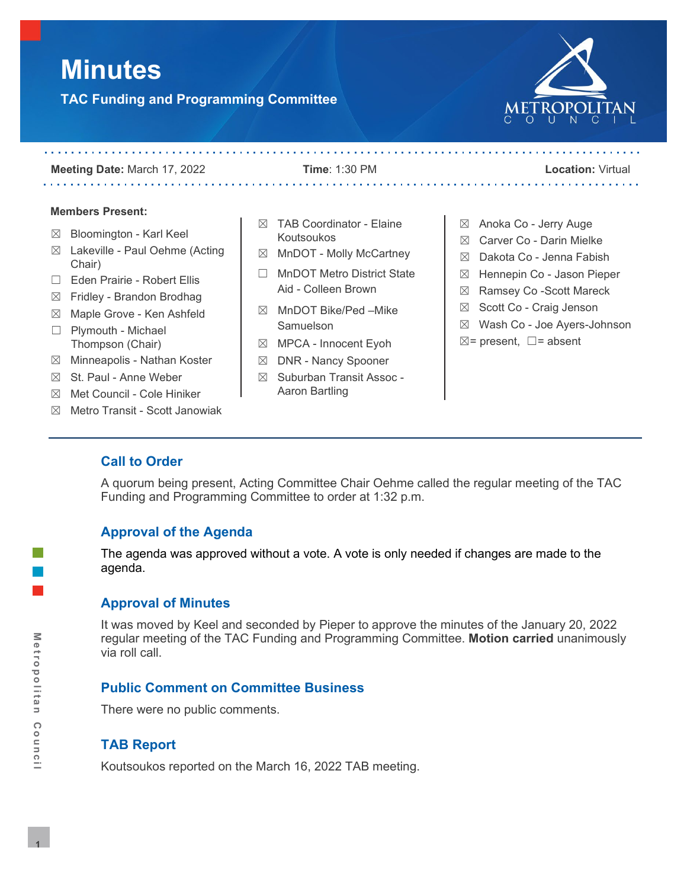# **Minutes**

**TAC Funding and Programming Committee**



. . . . . . . . . . .

**Meeting Date:** March 17, 2022 **Time**: 1:30 PM **Location:** Virtual

#### **Members Present:**

and and and and a

- ☒ Bloomington Karl Keel
- ☒ Lakeville Paul Oehme (Acting Chair)
- ☐ Eden Prairie Robert Ellis
- $\boxtimes$  Fridley Brandon Brodhag
- ☒ Maple Grove Ken Ashfeld
- ☐ Plymouth Michael Thompson (Chair)
- $\boxtimes$  Minneapolis Nathan Koster
- ☒ St. Paul Anne Weber
- ☒ Met Council Cole Hiniker
- ☒ Metro Transit Scott Janowiak
- $$\boxtimes$  **TABLE** Coordinator **E**laine$ Koutsoukos
- ☒ MnDOT Molly McCartney
- □ MnDOT Metro District State Aid - Colleen Brown
- ☒ MnDOT Bike/Ped –Mike Samuelson
- ☒ MPCA Innocent Eyoh
- ☒ DNR Nancy Spooner
- ☒ Suburban Transit Assoc Aaron Bartling

☒ Anoka Co - Jerry Auge

. . . . . . . . . . . . . . . . .

- ☒ Carver Co Darin Mielke
- ☒ Dakota Co Jenna Fabish
- ☒ Hennepin Co Jason Pieper
- ☒ Ramsey Co -Scott Mareck
- ☒ Scott Co Craig Jenson
- ☒ Wash Co Joe Ayers-Johnson
- ☒= present, ☐= absent

# **Call to Order**

A quorum being present, Acting Committee Chair Oehme called the regular meeting of the TAC Funding and Programming Committee to order at 1:32 p.m.

# **Approval of the Agenda**

The agenda was approved without a vote. A vote is only needed if changes are made to the agenda.

#### **Approval of Minutes**

It was moved by Keel and seconded by Pieper to approve the minutes of the January 20, 2022 regular meeting of the TAC Funding and Programming Committee. **Motion carried** unanimously via roll call.

# **Public Comment on Committee Business**

There were no public comments.

# **TAB Report**

Koutsoukos reported on the March 16, 2022 TAB meeting.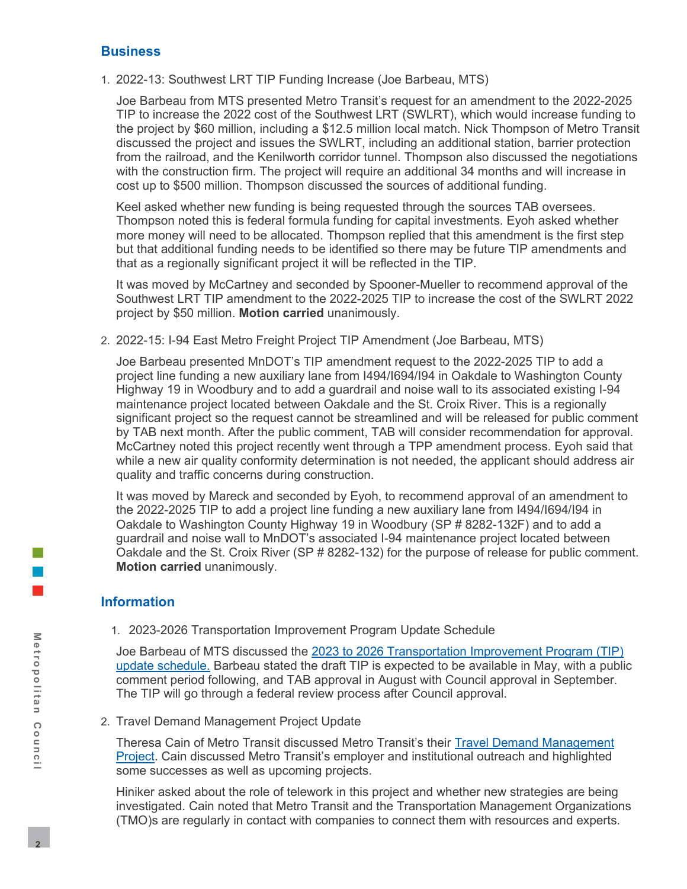#### **Business**

1. 2022-13: Southwest LRT TIP Funding Increase (Joe Barbeau, MTS)

Joe Barbeau from MTS presented Metro Transit's request for an amendment to the 2022-2025 TIP to increase the 2022 cost of the Southwest LRT (SWLRT), which would increase funding to the project by \$60 million, including a \$12.5 million local match. Nick Thompson of Metro Transit discussed the project and issues the SWLRT, including an additional station, barrier protection from the railroad, and the Kenilworth corridor tunnel. Thompson also discussed the negotiations with the construction firm. The project will require an additional 34 months and will increase in cost up to \$500 million. Thompson discussed the sources of additional funding.

Keel asked whether new funding is being requested through the sources TAB oversees. Thompson noted this is federal formula funding for capital investments. Eyoh asked whether more money will need to be allocated. Thompson replied that this amendment is the first step but that additional funding needs to be identified so there may be future TIP amendments and that as a regionally significant project it will be reflected in the TIP.

It was moved by McCartney and seconded by Spooner-Mueller to recommend approval of the Southwest LRT TIP amendment to the 2022-2025 TIP to increase the cost of the SWLRT 2022 project by \$50 million. **Motion carried** unanimously.

2. 2022-15: I-94 East Metro Freight Project TIP Amendment (Joe Barbeau, MTS)

Joe Barbeau presented MnDOT's TIP amendment request to the 2022-2025 TIP to add a project line funding a new auxiliary lane from I494/I694/I94 in Oakdale to Washington County Highway 19 in Woodbury and to add a guardrail and noise wall to its associated existing I-94 maintenance project located between Oakdale and the St. Croix River. This is a regionally significant project so the request cannot be streamlined and will be released for public comment by TAB next month. After the public comment, TAB will consider recommendation for approval. McCartney noted this project recently went through a TPP amendment process. Eyoh said that while a new air quality conformity determination is not needed, the applicant should address air quality and traffic concerns during construction.

It was moved by Mareck and seconded by Eyoh, to recommend approval of an amendment to the 2022-2025 TIP to add a project line funding a new auxiliary lane from I494/I694/I94 in Oakdale to Washington County Highway 19 in Woodbury (SP # 8282-132F) and to add a guardrail and noise wall to MnDOT's associated I-94 maintenance project located between Oakdale and the St. Croix River (SP # 8282-132) for the purpose of release for public comment. **Motion carried** unanimously.

# **Information**

1. 2023-2026 Transportation Improvement Program Update Schedule

Joe Barbeau of MTS discussed the [2023 to 2026 Transportation Improvement Program \(TIP\)](https://metrocouncil.org/getdoc/dbe76132-b89b-47a3-8b80-70a83fddf393/BusinessItem.aspx)  [update schedule.](https://metrocouncil.org/getdoc/dbe76132-b89b-47a3-8b80-70a83fddf393/BusinessItem.aspx) Barbeau stated the draft TIP is expected to be available in May, with a public comment period following, and TAB approval in August with Council approval in September. The TIP will go through a federal review process after Council approval.

2. Travel Demand Management Project Update

Theresa Cain of Metro Transit discussed Metro Transit's their [Travel Demand Management](https://metrocouncil.org/getdoc/4ab201c0-6daf-445c-88fe-f830e0b329aa/BusinessItem.aspx)  [Project.](https://metrocouncil.org/getdoc/4ab201c0-6daf-445c-88fe-f830e0b329aa/BusinessItem.aspx) Cain discussed Metro Transit's employer and institutional outreach and highlighted some successes as well as upcoming projects.

Hiniker asked about the role of telework in this project and whether new strategies are being investigated. Cain noted that Metro Transit and the Transportation Management Organizations (TMO)s are regularly in contact with companies to connect them with resources and experts.